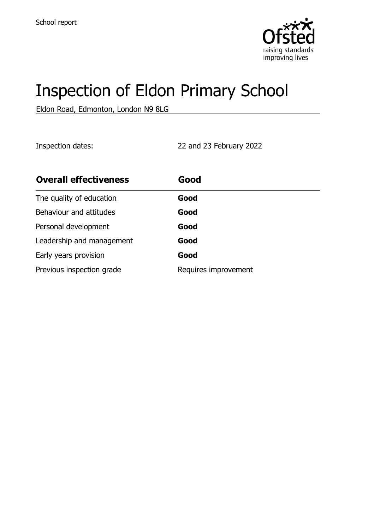

# Inspection of Eldon Primary School

Eldon Road, Edmonton, London N9 8LG

Inspection dates: 22 and 23 February 2022

| <b>Overall effectiveness</b> | Good                 |
|------------------------------|----------------------|
| The quality of education     | Good                 |
| Behaviour and attitudes      | Good                 |
| Personal development         | Good                 |
| Leadership and management    | Good                 |
| Early years provision        | Good                 |
| Previous inspection grade    | Requires improvement |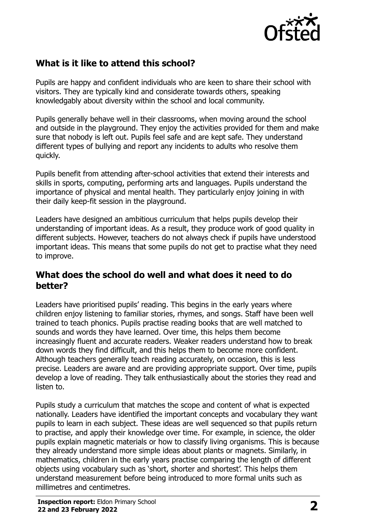

# **What is it like to attend this school?**

Pupils are happy and confident individuals who are keen to share their school with visitors. They are typically kind and considerate towards others, speaking knowledgably about diversity within the school and local community.

Pupils generally behave well in their classrooms, when moving around the school and outside in the playground. They enjoy the activities provided for them and make sure that nobody is left out. Pupils feel safe and are kept safe. They understand different types of bullying and report any incidents to adults who resolve them quickly.

Pupils benefit from attending after-school activities that extend their interests and skills in sports, computing, performing arts and languages. Pupils understand the importance of physical and mental health. They particularly enjoy joining in with their daily keep-fit session in the playground.

Leaders have designed an ambitious curriculum that helps pupils develop their understanding of important ideas. As a result, they produce work of good quality in different subjects. However, teachers do not always check if pupils have understood important ideas. This means that some pupils do not get to practise what they need to improve.

#### **What does the school do well and what does it need to do better?**

Leaders have prioritised pupils' reading. This begins in the early years where children enjoy listening to familiar stories, rhymes, and songs. Staff have been well trained to teach phonics. Pupils practise reading books that are well matched to sounds and words they have learned. Over time, this helps them become increasingly fluent and accurate readers. Weaker readers understand how to break down words they find difficult, and this helps them to become more confident. Although teachers generally teach reading accurately, on occasion, this is less precise. Leaders are aware and are providing appropriate support. Over time, pupils develop a love of reading. They talk enthusiastically about the stories they read and listen to.

Pupils study a curriculum that matches the scope and content of what is expected nationally. Leaders have identified the important concepts and vocabulary they want pupils to learn in each subject. These ideas are well sequenced so that pupils return to practise, and apply their knowledge over time. For example, in science, the older pupils explain magnetic materials or how to classify living organisms. This is because they already understand more simple ideas about plants or magnets. Similarly, in mathematics, children in the early years practise comparing the length of different objects using vocabulary such as 'short, shorter and shortest'. This helps them understand measurement before being introduced to more formal units such as millimetres and centimetres.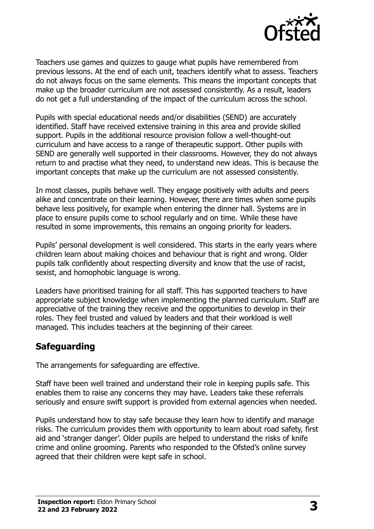

Teachers use games and quizzes to gauge what pupils have remembered from previous lessons. At the end of each unit, teachers identify what to assess. Teachers do not always focus on the same elements. This means the important concepts that make up the broader curriculum are not assessed consistently. As a result, leaders do not get a full understanding of the impact of the curriculum across the school.

Pupils with special educational needs and/or disabilities (SEND) are accurately identified. Staff have received extensive training in this area and provide skilled support. Pupils in the additional resource provision follow a well-thought-out curriculum and have access to a range of therapeutic support. Other pupils with SEND are generally well supported in their classrooms. However, they do not always return to and practise what they need, to understand new ideas. This is because the important concepts that make up the curriculum are not assessed consistently.

In most classes, pupils behave well. They engage positively with adults and peers alike and concentrate on their learning. However, there are times when some pupils behave less positively, for example when entering the dinner hall. Systems are in place to ensure pupils come to school regularly and on time. While these have resulted in some improvements, this remains an ongoing priority for leaders.

Pupils' personal development is well considered. This starts in the early years where children learn about making choices and behaviour that is right and wrong. Older pupils talk confidently about respecting diversity and know that the use of racist, sexist, and homophobic language is wrong.

Leaders have prioritised training for all staff. This has supported teachers to have appropriate subject knowledge when implementing the planned curriculum. Staff are appreciative of the training they receive and the opportunities to develop in their roles. They feel trusted and valued by leaders and that their workload is well managed. This includes teachers at the beginning of their career.

#### **Safeguarding**

The arrangements for safeguarding are effective.

Staff have been well trained and understand their role in keeping pupils safe. This enables them to raise any concerns they may have. Leaders take these referrals seriously and ensure swift support is provided from external agencies when needed.

Pupils understand how to stay safe because they learn how to identify and manage risks. The curriculum provides them with opportunity to learn about road safety, first aid and 'stranger danger'. Older pupils are helped to understand the risks of knife crime and online grooming. Parents who responded to the Ofsted's online survey agreed that their children were kept safe in school.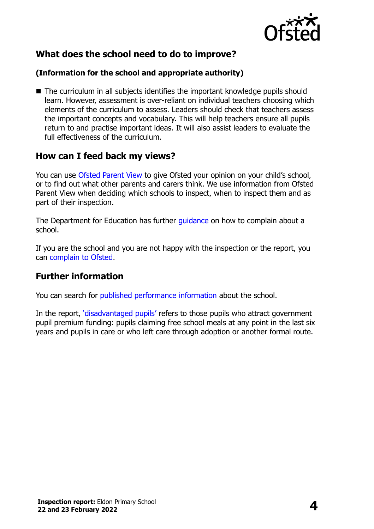

# **What does the school need to do to improve?**

#### **(Information for the school and appropriate authority)**

 $\blacksquare$  The curriculum in all subjects identifies the important knowledge pupils should learn. However, assessment is over-reliant on individual teachers choosing which elements of the curriculum to assess. Leaders should check that teachers assess the important concepts and vocabulary. This will help teachers ensure all pupils return to and practise important ideas. It will also assist leaders to evaluate the full effectiveness of the curriculum.

#### **How can I feed back my views?**

You can use [Ofsted Parent View](http://parentview.ofsted.gov.uk/) to give Ofsted your opinion on your child's school, or to find out what other parents and carers think. We use information from Ofsted Parent View when deciding which schools to inspect, when to inspect them and as part of their inspection.

The Department for Education has further quidance on how to complain about a school.

If you are the school and you are not happy with the inspection or the report, you can [complain to Ofsted.](http://www.gov.uk/complain-ofsted-report)

#### **Further information**

You can search for [published performance information](http://www.compare-school-performance.service.gov.uk/) about the school.

In the report, '[disadvantaged pupils](http://www.gov.uk/guidance/pupil-premium-information-for-schools-and-alternative-provision-settings)' refers to those pupils who attract government pupil premium funding: pupils claiming free school meals at any point in the last six years and pupils in care or who left care through adoption or another formal route.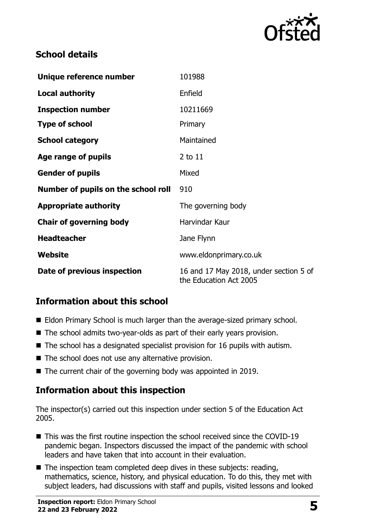

# **School details**

| Unique reference number             | 101988                                                           |  |
|-------------------------------------|------------------------------------------------------------------|--|
| <b>Local authority</b>              | Enfield                                                          |  |
| <b>Inspection number</b>            | 10211669                                                         |  |
| <b>Type of school</b>               | Primary                                                          |  |
| <b>School category</b>              | Maintained                                                       |  |
| Age range of pupils                 | 2 to 11                                                          |  |
| <b>Gender of pupils</b>             | Mixed                                                            |  |
| Number of pupils on the school roll | 910                                                              |  |
| <b>Appropriate authority</b>        | The governing body                                               |  |
| <b>Chair of governing body</b>      | Harvindar Kaur                                                   |  |
| <b>Headteacher</b>                  | Jane Flynn                                                       |  |
| Website                             | www.eldonprimary.co.uk                                           |  |
| Date of previous inspection         | 16 and 17 May 2018, under section 5 of<br>the Education Act 2005 |  |

# **Information about this school**

- Eldon Primary School is much larger than the average-sized primary school.
- The school admits two-year-olds as part of their early years provision.
- $\blacksquare$  The school has a designated specialist provision for 16 pupils with autism.
- $\blacksquare$  The school does not use any alternative provision.
- The current chair of the governing body was appointed in 2019.

# **Information about this inspection**

The inspector(s) carried out this inspection under section 5 of the Education Act 2005.

- This was the first routine inspection the school received since the COVID-19 pandemic began. Inspectors discussed the impact of the pandemic with school leaders and have taken that into account in their evaluation.
- $\blacksquare$  The inspection team completed deep dives in these subjects: reading, mathematics, science, history, and physical education. To do this, they met with subject leaders, had discussions with staff and pupils, visited lessons and looked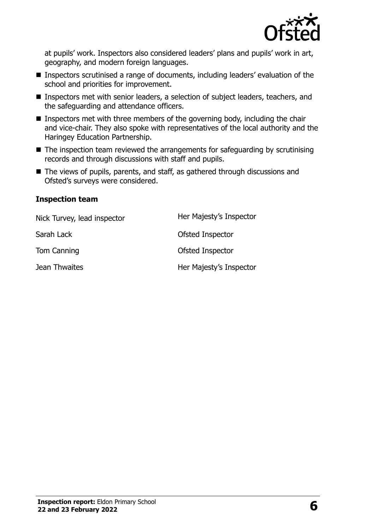

at pupils' work. Inspectors also considered leaders' plans and pupils' work in art, geography, and modern foreign languages.

- Inspectors scrutinised a range of documents, including leaders' evaluation of the school and priorities for improvement.
- Inspectors met with senior leaders, a selection of subject leaders, teachers, and the safeguarding and attendance officers.
- **Inspectors met with three members of the governing body, including the chair** and vice-chair. They also spoke with representatives of the local authority and the Haringey Education Partnership.
- The inspection team reviewed the arrangements for safeguarding by scrutinising records and through discussions with staff and pupils.
- The views of pupils, parents, and staff, as gathered through discussions and Ofsted's surveys were considered.

#### **Inspection team**

| Nick Turvey, lead inspector | Her Majesty's Inspector |
|-----------------------------|-------------------------|
| Sarah Lack                  | Ofsted Inspector        |
| Tom Canning                 | Ofsted Inspector        |
| Jean Thwaites               | Her Majesty's Inspector |